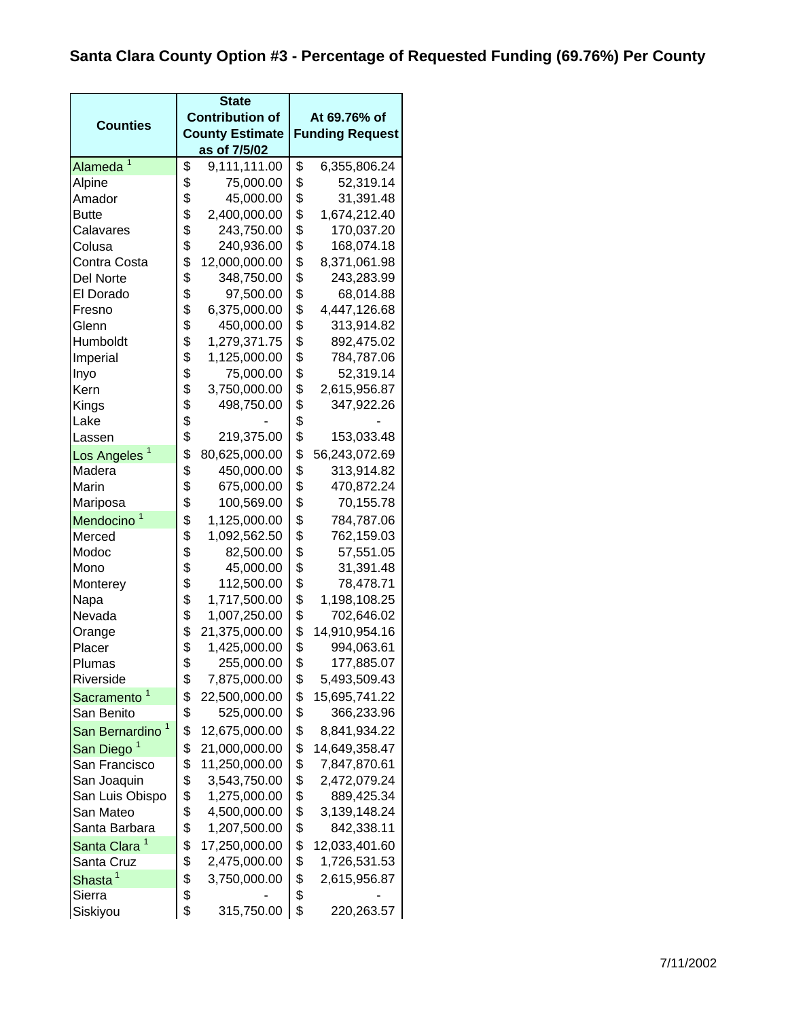|                             | <b>State</b> |                        |    |                        |  |
|-----------------------------|--------------|------------------------|----|------------------------|--|
| <b>Counties</b>             |              | <b>Contribution of</b> |    | At 69.76% of           |  |
|                             |              | <b>County Estimate</b> |    | <b>Funding Request</b> |  |
| 1                           |              | as of 7/5/02           |    |                        |  |
| Alameda                     | \$           | 9,111,111.00           | \$ | 6,355,806.24           |  |
| Alpine                      | \$           | 75,000.00              | \$ | 52,319.14              |  |
| Amador                      | \$           | 45,000.00              | \$ | 31,391.48              |  |
| <b>Butte</b>                | \$           | 2,400,000.00           | \$ | 1,674,212.40           |  |
| Calavares                   | \$           | 243,750.00             | \$ | 170,037.20             |  |
| Colusa                      | \$           | 240,936.00             | \$ | 168,074.18             |  |
| Contra Costa                | \$           | 12,000,000.00          | \$ | 8,371,061.98           |  |
| Del Norte                   | \$           | 348,750.00             | \$ | 243,283.99             |  |
| El Dorado                   | \$           | 97,500.00              | \$ | 68,014.88              |  |
| Fresno                      | \$           | 6,375,000.00           | \$ | 4,447,126.68           |  |
| Glenn                       | \$           | 450,000.00             | \$ | 313,914.82             |  |
| Humboldt                    | \$           | 1,279,371.75           | \$ | 892,475.02             |  |
| Imperial                    | \$           | 1,125,000.00           | \$ | 784,787.06             |  |
| Inyo                        | \$           | 75,000.00              | \$ | 52,319.14              |  |
| Kern                        | \$           | 3,750,000.00           | \$ | 2,615,956.87           |  |
| Kings                       | \$           | 498,750.00             | \$ | 347,922.26             |  |
| Lake                        | \$           |                        | \$ |                        |  |
| Lassen                      | \$           | 219,375.00             | \$ | 153,033.48             |  |
| Los Angeles <sup>1</sup>    | \$           | 80,625,000.00          | \$ | 56,243,072.69          |  |
| Madera                      | \$           | 450,000.00             | \$ | 313,914.82             |  |
| Marin                       | \$           | 675,000.00             | \$ | 470,872.24             |  |
| Mariposa                    | \$           | 100,569.00             | \$ | 70,155.78              |  |
| Mendocino                   | \$           | 1,125,000.00           | \$ | 784,787.06             |  |
| Merced                      | \$           | 1,092,562.50           | \$ | 762,159.03             |  |
| Modoc                       | \$           | 82,500.00              | \$ | 57,551.05              |  |
| Mono                        | \$           | 45,000.00              | \$ | 31,391.48              |  |
| Monterey                    | \$           | 112,500.00             | \$ | 78,478.71              |  |
| Napa                        | \$           | 1,717,500.00           | \$ | 1,198,108.25           |  |
| Nevada                      | \$           | 1,007,250.00           | \$ | 702,646.02             |  |
| Orange                      | \$           | 21,375,000.00          | \$ | 14,910,954.16          |  |
| Placer                      | \$           | 1,425,000.00           | \$ | 994,063.61             |  |
| Plumas                      | \$           | 255,000.00             | \$ | 177,885.07             |  |
| Riverside                   | \$           | 7,875,000.00           | \$ | 5,493,509.43           |  |
| Sacramento <sup>1</sup>     | \$           | 22,500,000.00          | \$ | 15,695,741.22          |  |
| San Benito                  | \$           | 525,000.00             | \$ | 366,233.96             |  |
| San Bernardino <sup>1</sup> | \$           | 12,675,000.00          | \$ | 8,841,934.22           |  |
| San Diego <sup>1</sup>      | \$           | 21,000,000.00          | \$ | 14,649,358.47          |  |
| San Francisco               | \$           | 11,250,000.00          | \$ | 7,847,870.61           |  |
| San Joaquin                 | \$           | 3,543,750.00           | \$ | 2,472,079.24           |  |
| San Luis Obispo             | \$           | 1,275,000.00           | \$ | 889,425.34             |  |
| San Mateo                   | \$           | 4,500,000.00           | \$ | 3,139,148.24           |  |
| Santa Barbara               | \$           | 1,207,500.00           | \$ | 842,338.11             |  |
| Santa Clara <sup>1</sup>    | \$           | 17,250,000.00          | \$ | 12,033,401.60          |  |
| Santa Cruz                  | \$           | 2,475,000.00           | \$ | 1,726,531.53           |  |
|                             |              |                        |    |                        |  |
| Shasta <sup>1</sup>         | \$           | 3,750,000.00           | \$ | 2,615,956.87           |  |
| Sierra                      | \$           |                        | \$ |                        |  |
| Siskiyou                    | \$           | 315,750.00             | \$ | 220,263.57             |  |